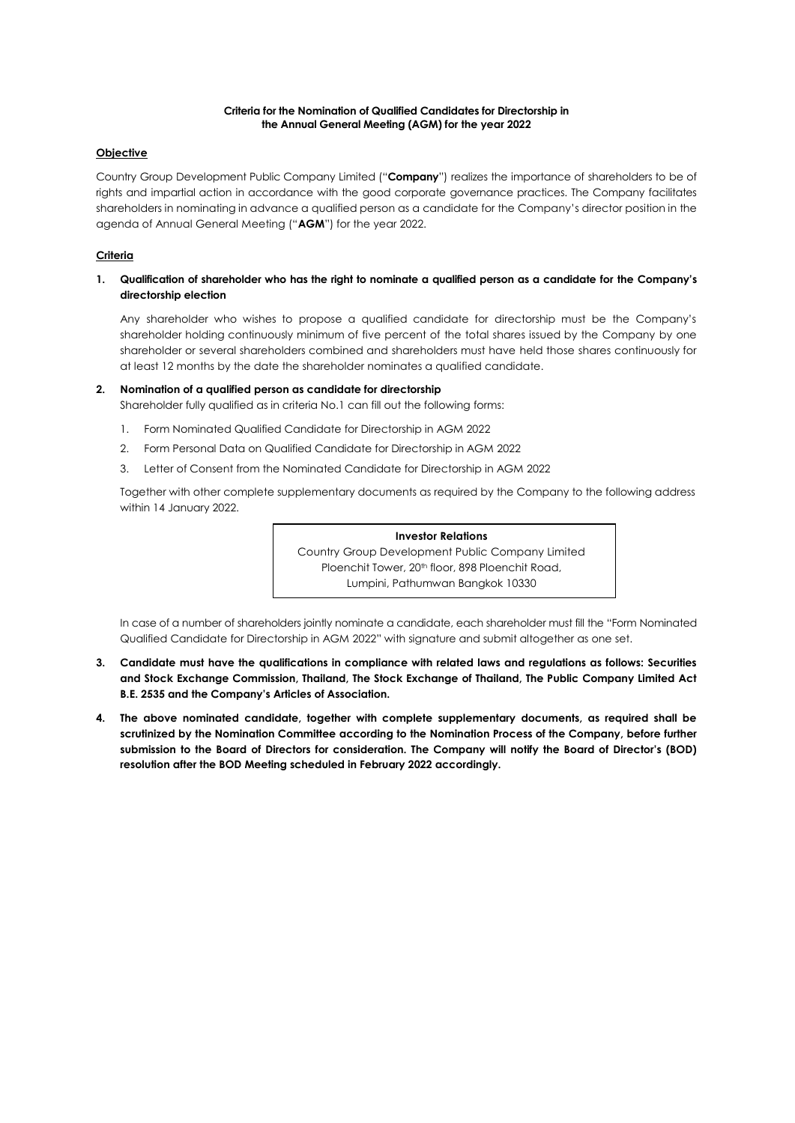#### **Criteria for the Nomination of Qualified Candidates for Directorship in the Annual General Meeting (AGM) for the year 2022**

### **Objective**

Country Group Development Public Company Limited ("**Company**") realizes the importance of shareholders to be of rights and impartial action in accordance with the good corporate governance practices. The Company facilitates shareholders in nominating in advance a qualified person as a candidate for the Company's director position in the agenda of Annual General Meeting ("**AGM**") for the year 2022.

## **Criteria**

### **1. Qualification of shareholder who has the right to nominate a qualified person as a candidate for the Company's directorship election**

Any shareholder who wishes to propose a qualified candidate for directorship must be the Company's shareholder holding continuously minimum of five percent of the total shares issued by the Company by one shareholder or several shareholders combined and shareholders must have held those shares continuously for at least 12 months by the date the shareholder nominates a qualified candidate.

#### **2. Nomination of a qualified person as candidate for directorship**

Shareholder fully qualified as in criteria No.1 can fill out the following forms:

- 1. Form Nominated Qualified Candidate for Directorship in AGM 2022
- 2. Form Personal Data on Qualified Candidate for Directorship in AGM 2022
- 3. Letter of Consent from the Nominated Candidate for Directorship in AGM 2022

Together with other complete supplementary documents as required by the Company to the following address within 14 January 2022.

#### **Investor Relations**

Country Group Development Public Company Limited Ploenchit Tower, 20<sup>th</sup> floor, 898 Ploenchit Road, Lumpini, Pathumwan Bangkok 10330

In case of a number of shareholders jointly nominate a candidate, each shareholder must fill the "Form Nominated Qualified Candidate for Directorship in AGM 2022" with signature and submit altogether as one set.

- **3. Candidate must have the qualifications in compliance with related laws and regulations as follows: Securities and Stock Exchange Commission, Thailand, The Stock Exchange of Thailand, The Public Company Limited Act B.E. 2535 and the Company's Articles of Association.**
- **4. The above nominated candidate, together with complete supplementary documents, as required shall be scrutinized by the Nomination Committee according to the Nomination Process of the Company, before further submission to the Board of Directors for consideration. The Company will notify the Board of Director's (BOD) resolution after the BOD Meeting scheduled in February 2022 accordingly.**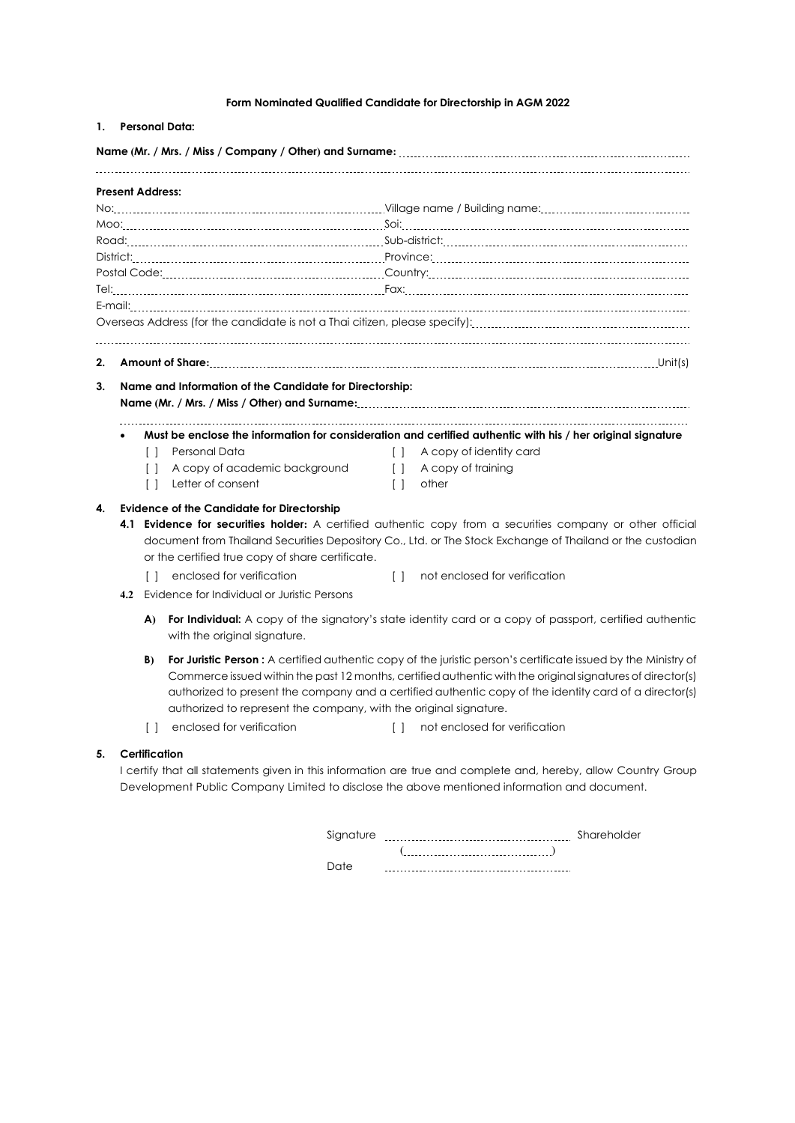# **Form Nominated Qualified Candidate for Directorship in AGM 2022**

| <b>Present Address:</b> |     |        |                                                         |        |                                                                                                             |
|-------------------------|-----|--------|---------------------------------------------------------|--------|-------------------------------------------------------------------------------------------------------------|
|                         |     |        |                                                         |        |                                                                                                             |
|                         |     |        |                                                         |        |                                                                                                             |
|                         |     |        |                                                         |        |                                                                                                             |
|                         |     |        |                                                         |        |                                                                                                             |
|                         |     |        |                                                         |        |                                                                                                             |
|                         |     |        |                                                         |        |                                                                                                             |
|                         |     |        |                                                         |        |                                                                                                             |
|                         |     |        |                                                         |        |                                                                                                             |
|                         |     |        |                                                         |        |                                                                                                             |
| 2.                      |     |        |                                                         |        |                                                                                                             |
| 3.                      |     |        | Name and Information of the Candidate for Directorship: |        |                                                                                                             |
|                         |     |        |                                                         |        |                                                                                                             |
|                         |     |        |                                                         |        |                                                                                                             |
|                         |     |        |                                                         |        |                                                                                                             |
|                         |     |        |                                                         |        | Must be enclose the information for consideration and certified authentic with his / her original signature |
|                         |     | $\Box$ | Personal Data                                           |        | [ ] A copy of identity card                                                                                 |
|                         |     | Ιl     | A copy of academic background                           |        | [ ] A copy of training                                                                                      |
|                         |     | Ħ      | Letter of consent                                       | $\Box$ | other                                                                                                       |
| 4.                      |     |        | <b>Evidence of the Candidate for Directorship</b>       |        |                                                                                                             |
|                         |     |        |                                                         |        | 4.1 Evidence for securities holder: A certified authentic copy from a securities company or other official  |
|                         |     |        |                                                         |        | document from Thailand Securities Depository Co., Ltd. or The Stock Exchange of Thailand or the custodian   |
|                         |     |        | or the certified true copy of share certificate.        |        |                                                                                                             |
|                         |     |        | [ ] enclosed for verification                           | $\Box$ | not enclosed for verification                                                                               |
|                         | 4.2 |        | Evidence for Individual or Juristic Persons             |        |                                                                                                             |
|                         |     | A)     |                                                         |        | For Individual: A copy of the signatory's state identity card or a copy of passport, certified authentic    |
|                         |     |        | with the original signature.                            |        |                                                                                                             |

- 
- [ ] enclosed for verification [ ] not enclosed for verification

# **5. Certification**

I certify that all statements given in this information are true and complete and, hereby, allow Country Group Development Public Company Limited to disclose the above mentioned information and document.

| Sianature | Shareholder |
|-----------|-------------|
|           |             |
|           |             |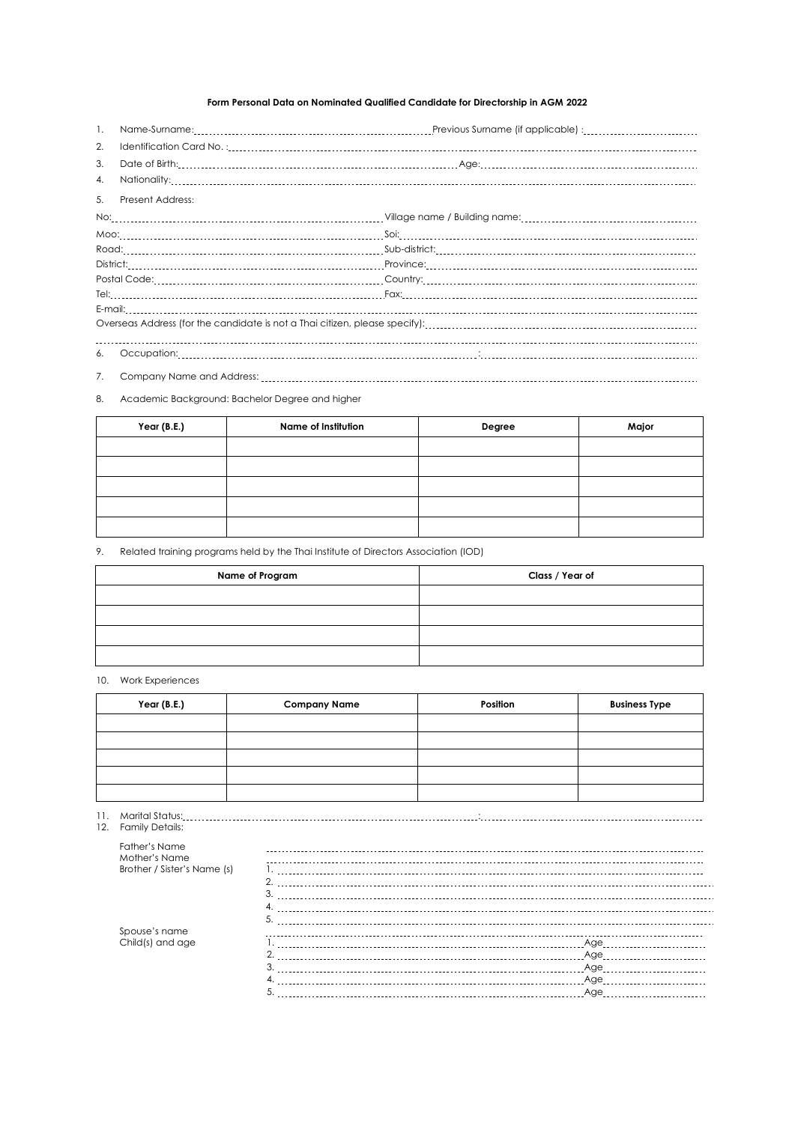# **Form Personal Data on Nominated Qualified Candidate for Directorship in AGM 2022**

| $\mathbf{1}$ . | Name-Surname: [11] Name-Surname: [11] Name-Surname: [11] Name-Surname: [16] Name-Surname: [11] Name-Surname: [11] Name-Surname: [11] Name-Surname: [11] Name-Surname: [11] Name-Surname: [11] Name-Surname: [11] Name-Surname: |  |  |  |
|----------------|--------------------------------------------------------------------------------------------------------------------------------------------------------------------------------------------------------------------------------|--|--|--|
| 2.             |                                                                                                                                                                                                                                |  |  |  |
| 3.             |                                                                                                                                                                                                                                |  |  |  |
| 4.             |                                                                                                                                                                                                                                |  |  |  |
| 5.             | Present Address:                                                                                                                                                                                                               |  |  |  |
|                |                                                                                                                                                                                                                                |  |  |  |
|                |                                                                                                                                                                                                                                |  |  |  |
|                |                                                                                                                                                                                                                                |  |  |  |
|                |                                                                                                                                                                                                                                |  |  |  |
|                |                                                                                                                                                                                                                                |  |  |  |
|                |                                                                                                                                                                                                                                |  |  |  |
|                |                                                                                                                                                                                                                                |  |  |  |
|                |                                                                                                                                                                                                                                |  |  |  |
| 6.             |                                                                                                                                                                                                                                |  |  |  |
| 7.             |                                                                                                                                                                                                                                |  |  |  |

#### 8. Academic Background: Bachelor Degree and higher

| Year (B.E.) | Name of Institution | Degree | Major |
|-------------|---------------------|--------|-------|
|             |                     |        |       |
|             |                     |        |       |
|             |                     |        |       |
|             |                     |        |       |
|             |                     |        |       |

# 9. Related training programs held by the Thai Institute of Directors Association (IOD)

| Name of Program | Class / Year of |
|-----------------|-----------------|
|                 |                 |
|                 |                 |
|                 |                 |
|                 |                 |

# 10. Work Experiences

| Year (B.E.) | <b>Company Name</b> | Position | <b>Business Type</b> |
|-------------|---------------------|----------|----------------------|
|             |                     |          |                      |
|             |                     |          |                      |
|             |                     |          |                      |
|             |                     |          |                      |
|             |                     |          |                      |

#### 11. Marital Status: :

| 12. | <b>Family Details:</b>                |                                                                                                                     |
|-----|---------------------------------------|---------------------------------------------------------------------------------------------------------------------|
|     | <b>Father's Name</b><br>Mother's Name |                                                                                                                     |
|     | Brother / Sister's Name (s)           |                                                                                                                     |
|     |                                       |                                                                                                                     |
|     |                                       | 3.                                                                                                                  |
|     |                                       |                                                                                                                     |
|     |                                       | 5                                                                                                                   |
|     | Spouse's name                         |                                                                                                                     |
|     | Child(s) and age                      | Age and the state of the state of the state of the state of the state of the state of the state of the state o      |
|     |                                       | ∩<br>Age and the state of the state of the state of the state of the state of the state of the state of the state o |
|     |                                       | Age                                                                                                                 |
|     |                                       | Age                                                                                                                 |
|     |                                       | .5.<br>Age                                                                                                          |
|     |                                       |                                                                                                                     |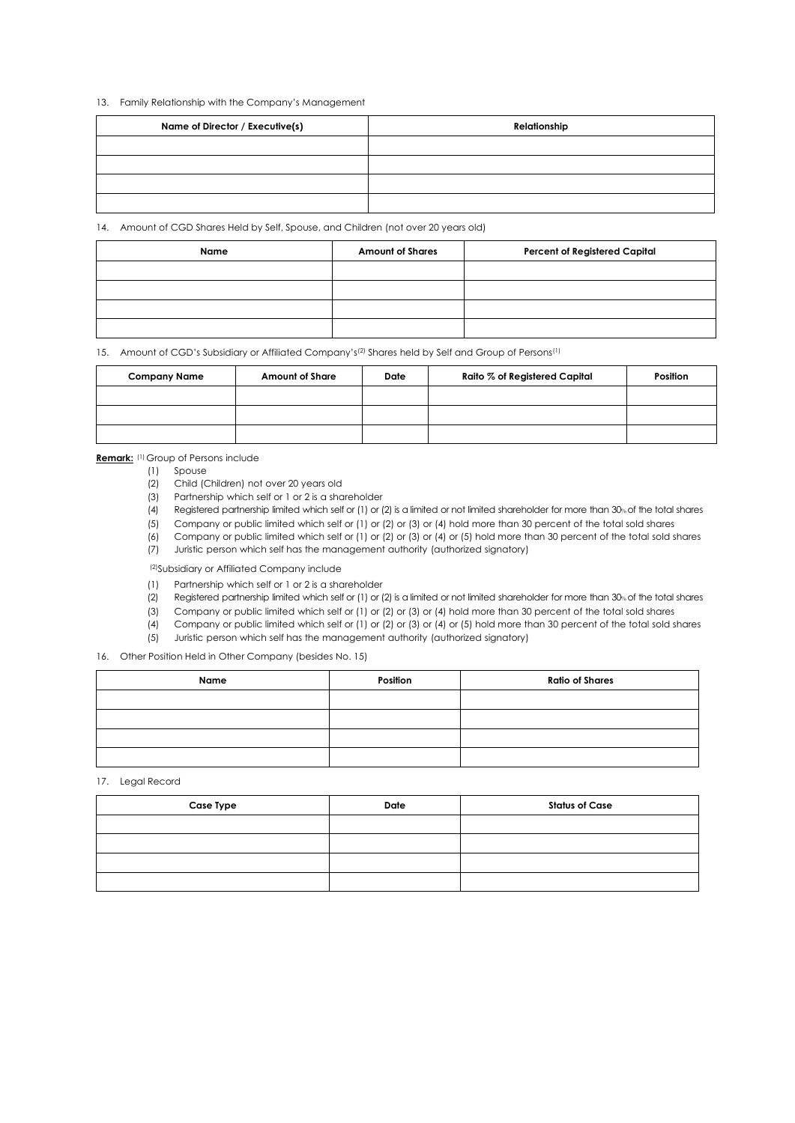#### 13. Family Relationship with the Company's Management

| Name of Director / Executive(s) | Relationship |
|---------------------------------|--------------|
|                                 |              |
|                                 |              |
|                                 |              |
|                                 |              |

14. Amount of CGD Shares Held by Self, Spouse, and Children (not over 20 years old)

| Name | <b>Amount of Shares</b> | <b>Percent of Registered Capital</b> |
|------|-------------------------|--------------------------------------|
|      |                         |                                      |
|      |                         |                                      |
|      |                         |                                      |
|      |                         |                                      |

15. Amount of CGD's Subsidiary or Affiliated Company's<sup>(2)</sup> Shares held by Self and Group of Persons<sup>(1)</sup>

| <b>Company Name</b> | <b>Amount of Share</b> | Date | Raito % of Registered Capital | Position |
|---------------------|------------------------|------|-------------------------------|----------|
|                     |                        |      |                               |          |
|                     |                        |      |                               |          |
|                     |                        |      |                               |          |

**Remark:** (1) Group of Persons include

- (1) Spouse
- (2) Child (Children) not over 20 years old
- (3) Partnership which self or 1 or 2 is a shareholder
- (4) Registered partnership limited which self or (1) or (2) is a limited or not limited shareholder for more than 30% of the total shares
- (5) Company or public limited which self or (1) or (2) or (3) or (4) hold more than 30 percent of the total sold shares
- (6) Company or public limited which self or (1) or (2) or (3) or (4) or (5) hold more than 30 percent of the total sold shares
- (7) Juristic person which self has the management authority (authorized signatory)

(2)Subsidiary or Affiliated Company include

- (1) Partnership which self or 1 or 2 is a shareholder
- (2) Registered partnership limited which self or (1) or (2) is a limited or not limited shareholder for more than 30% of the total shares
- (3) Company or public limited which self or (1) or (2) or (3) or (4) hold more than 30 percent of the total sold shares
- (4) Company or public limited which self or (1) or (2) or (3) or (4) or (5) hold more than 30 percent of the total sold shares
- (5) Juristic person which self has the management authority (authorized signatory)

16. Other Position Held in Other Company (besides No. 15)

| Name | Position | <b>Ratio of Shares</b> |
|------|----------|------------------------|
|      |          |                        |
|      |          |                        |
|      |          |                        |
|      |          |                        |

17. Legal Record

| <b>Case Type</b> | Date | <b>Status of Case</b> |
|------------------|------|-----------------------|
|                  |      |                       |
|                  |      |                       |
|                  |      |                       |
|                  |      |                       |